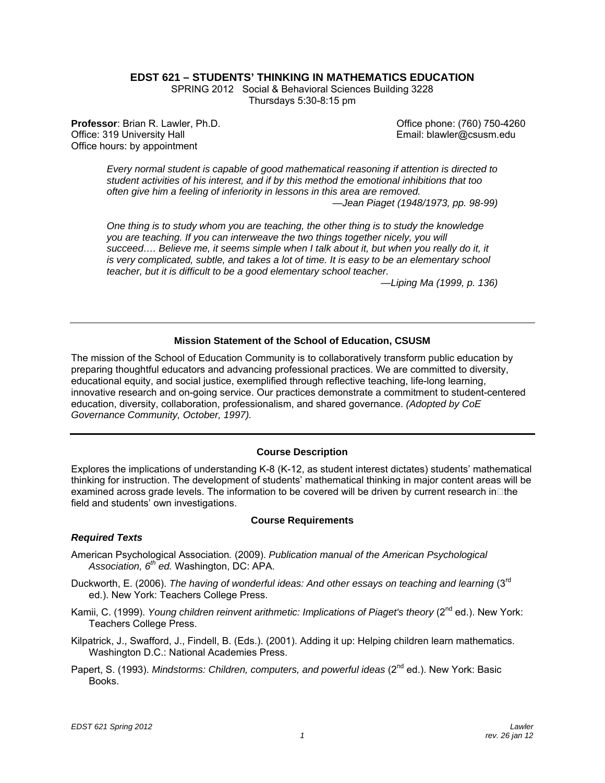## **EDST 621 – STUDENTS' THINKING IN MATHEMATICS EDUCATION**

SPRING 2012 Social & Behavioral Sciences Building 3228 Thursdays 5:30-8:15 pm

**Professor**: Brian R. Lawler, Ph.D. Channel Communication Communication Communication Communication Communication Communication Communication Communication Communication Communication Communication Communication Communicat Office: 319 University Hall **Email: blawler@csusm.edu** Email: blawler@csusm.edu Office hours: by appointment

*Every normal student is capable of good mathematical reasoning if attention is directed to student activities of his interest, and if by this method the emotional inhibitions that too often give him a feeling of inferiority in lessons in this area are removed.* 

*—Jean Piaget (1948/1973, pp. 98-99)* 

*One thing is to study whom you are teaching, the other thing is to study the knowledge you are teaching. If you can interweave the two things together nicely, you will succeed…. Believe me, it seems simple when I talk about it, but when you really do it, it is very complicated, subtle, and takes a lot of time. It is easy to be an elementary school teacher, but it is difficult to be a good elementary school teacher.* 

*—Liping Ma (1999, p. 136)* 

### **Mission Statement of the School of Education, CSUSM**

The mission of the School of Education Community is to collaboratively transform public education by preparing thoughtful educators and advancing professional practices. We are committed to diversity, educational equity, and social justice, exemplified through reflective teaching, life-long learning, innovative research and on-going service. Our practices demonstrate a commitment to student-centered education, diversity, collaboration, professionalism, and shared governance. *(Adopted by CoE Governance Community, October, 1997).* 

#### **Course Description**

Explores the implications of understanding K-8 (K-12, as student interest dictates) students' mathematical thinking for instruction. The development of students' mathematical thinking in major content areas will be examined across grade levels. The information to be covered will be driven by current research in $\Box$ the field and students' own investigations.

#### **Course Requirements**

#### *Required Texts*

- American Psychological Association*.* (2009). *Publication manual of the American Psychological Association, 6th ed.* Washington, DC: APA.
- Duckworth, E. (2006). *The having of wonderful ideas: And other essays on teaching and learning* (3<sup>rd</sup> ed.). New York: Teachers College Press.
- Kamii, C. (1999). *Young children reinvent arithmetic: Implications of Piaget's theory* (2<sup>nd</sup> ed.). New York: Teachers College Press.

Kilpatrick, J., Swafford, J., Findell, B. (Eds.). (2001). Adding it up: Helping children learn mathematics. Washington D.C.: National Academies Press.

Papert, S. (1993). *Mindstorms: Children, computers, and powerful ideas* (2<sup>nd</sup> ed.). New York: Basic Books.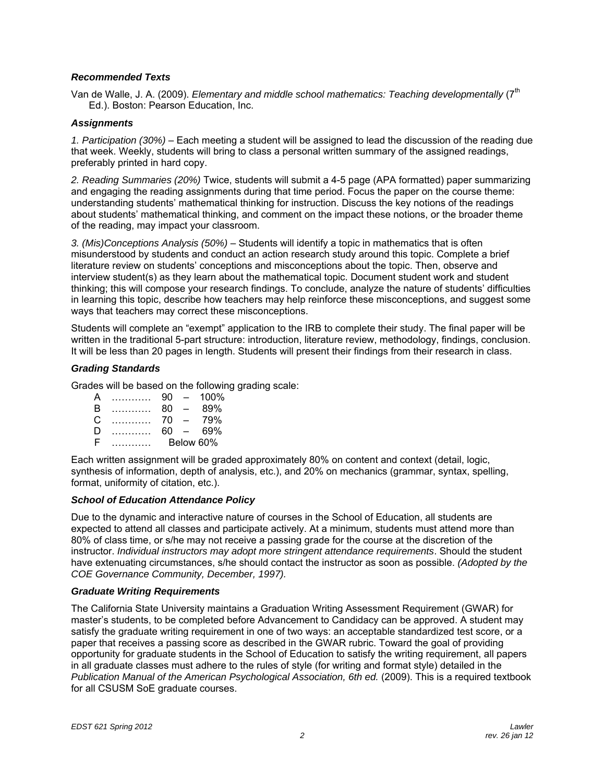## *Recommended Texts*

Van de Walle, J. A. (2009). *Elementary and middle school mathematics: Teaching developmentally* (7<sup>th</sup> Ed.). Boston: Pearson Education, Inc.

## *Assignments*

*1. Participation (30%)* – Each meeting a student will be assigned to lead the discussion of the reading due that week. Weekly, students will bring to class a personal written summary of the assigned readings, preferably printed in hard copy.

*2. Reading Summaries (20%)* Twice, students will submit a 4-5 page (APA formatted) paper summarizing and engaging the reading assignments during that time period. Focus the paper on the course theme: understanding students' mathematical thinking for instruction. Discuss the key notions of the readings about students' mathematical thinking, and comment on the impact these notions, or the broader theme of the reading, may impact your classroom.

*3. (Mis)Conceptions Analysis (50%)* – Students will identify a topic in mathematics that is often misunderstood by students and conduct an action research study around this topic. Complete a brief literature review on students' conceptions and misconceptions about the topic. Then, observe and interview student(s) as they learn about the mathematical topic. Document student work and student thinking; this will compose your research findings. To conclude, analyze the nature of students' difficulties in learning this topic, describe how teachers may help reinforce these misconceptions, and suggest some ways that teachers may correct these misconceptions.

Students will complete an "exempt" application to the IRB to complete their study. The final paper will be written in the traditional 5-part structure: introduction, literature review, methodology, findings, conclusion. It will be less than 20 pages in length. Students will present their findings from their research in class.

## *Grading Standards*

Grades will be based on the following grading scale:

| А | 90        | $\overline{\phantom{m}}$ | $100\%$ |
|---|-----------|--------------------------|---------|
| R | 80        | $\overline{\phantom{a}}$ | 89%     |
| C | 70        | $\equiv$                 | 79%     |
| D | 60        | $\sim$                   | 69%     |
| F | Below 60% |                          |         |

Each written assignment will be graded approximately 80% on content and context (detail, logic, synthesis of information, depth of analysis, etc.), and 20% on mechanics (grammar, syntax, spelling, format, uniformity of citation, etc.).

# *School of Education Attendance Policy*

 *COE Governance Community, December, 1997).* Due to the dynamic and interactive nature of courses in the School of Education, all students are expected to attend all classes and participate actively. At a minimum, students must attend more than 80% of class time, or s/he may not receive a passing grade for the course at the discretion of the instructor. *Individual instructors may adopt more stringent attendance requirements*. Should the student have extenuating circumstances, s/he should contact the instructor as soon as possible. *(Adopted by the* 

### *Graduate Writing Requirements*

The California State University maintains a Graduation Writing Assessment Requirement (GWAR) for master's students, to be completed before Advancement to Candidacy can be approved. A student may satisfy the graduate writing requirement in one of two ways: an acceptable standardized test score, or a paper that receives a passing score as described in the GWAR rubric. Toward the goal of providing opportunity for graduate students in the School of Education to satisfy the writing requirement, all papers in all graduate classes must adhere to the rules of style (for writing and format style) detailed in the *Publication Manual of the American Psychological Association, 6th ed.* (2009). This is a required textbook for all CSUSM SoE graduate courses.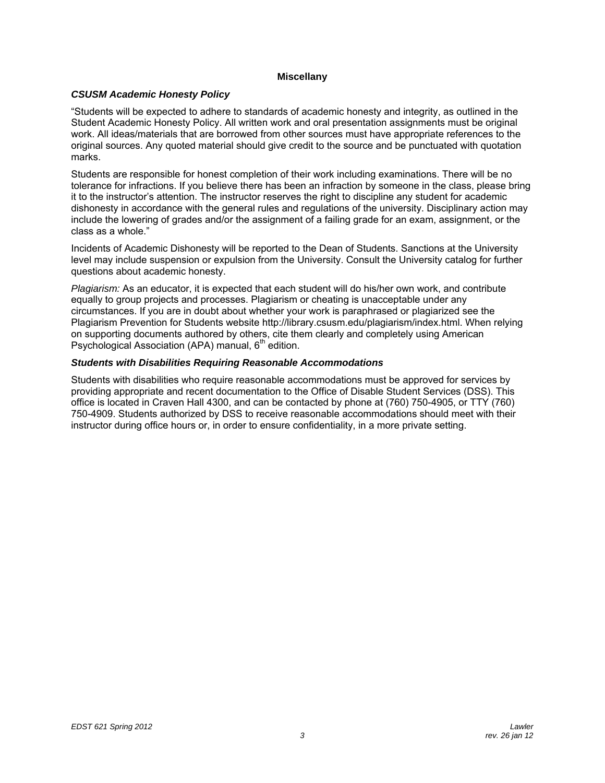### **Miscellany**

### *CSUSM Academic Honesty Policy*

"Students will be expected to adhere to standards of academic honesty and integrity, as outlined in the Student Academic Honesty Policy. All written work and oral presentation assignments must be original work. All ideas/materials that are borrowed from other sources must have appropriate references to the original sources. Any quoted material should give credit to the source and be punctuated with quotation marks.

Students are responsible for honest completion of their work including examinations. There will be no tolerance for infractions. If you believe there has been an infraction by someone in the class, please bring it to the instructor's attention. The instructor reserves the right to discipline any student for academic dishonesty in accordance with the general rules and regulations of the university. Disciplinary action may include the lowering of grades and/or the assignment of a failing grade for an exam, assignment, or the class as a whole."

Incidents of Academic Dishonesty will be reported to the Dean of Students. Sanctions at the University level may include suspension or expulsion from the University. Consult the University catalog for further questions about academic honesty.

*Plagiarism:* As an educator, it is expected that each student will do his/her own work, and contribute equally to group projects and processes. Plagiarism or cheating is unacceptable under any circumstances. If you are in doubt about whether your work is paraphrased or plagiarized see the Plagiarism Prevention for Students website http://library.csusm.edu/plagiarism/index.html. When relying on supporting documents authored by others, cite them clearly and completely using American Psychological Association (APA) manual,  $6<sup>th</sup>$  edition.

### *Students with Disabilities Requiring Reasonable Accommodations*

Students with disabilities who require reasonable accommodations must be approved for services by providing appropriate and recent documentation to the Office of Disable Student Services (DSS). This office is located in Craven Hall 4300, and can be contacted by phone at (760) 750-4905, or TTY (760) 750-4909. Students authorized by DSS to receive reasonable accommodations should meet with their instructor during office hours or, in order to ensure confidentiality, in a more private setting.